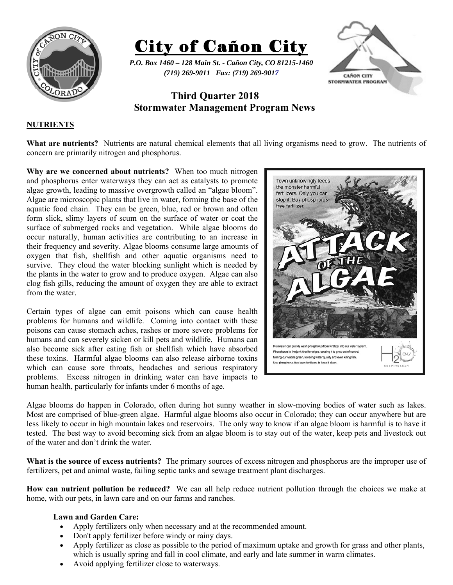

City of Cañon City

*P.O. Box 1460 – 128 Main St. - Cañon City, CO 81215-1460 (719) 269-9011 Fax: (719) 269-9017* 



# **Third Quarter 2018 Stormwater Management Program News**

# **NUTRIENTS**

**What are nutrients?** Nutrients are natural chemical elements that all living organisms need to grow. The nutrients of concern are primarily nitrogen and phosphorus.

**Why are we concerned about nutrients?** When too much nitrogen and phosphorus enter waterways they can act as catalysts to promote algae growth, leading to massive overgrowth called an "algae bloom". Algae are microscopic plants that live in water, forming the base of the aquatic food chain. They can be green, blue, red or brown and often form slick, slimy layers of scum on the surface of water or coat the surface of submerged rocks and vegetation. While algae blooms do occur naturally, human activities are contributing to an increase in their frequency and severity. Algae blooms consume large amounts of oxygen that fish, shellfish and other aquatic organisms need to survive. They cloud the water blocking sunlight which is needed by the plants in the water to grow and to produce oxygen. Algae can also clog fish gills, reducing the amount of oxygen they are able to extract from the water.

Certain types of algae can emit poisons which can cause health problems for humans and wildlife. Coming into contact with these poisons can cause stomach aches, rashes or more severe problems for humans and can severely sicken or kill pets and wildlife. Humans can also become sick after eating fish or shellfish which have absorbed these toxins. Harmful algae blooms can also release airborne toxins which can cause sore throats, headaches and serious respiratory problems. Excess nitrogen in drinking water can have impacts to human health, particularly for infants under 6 months of age.



Algae blooms do happen in Colorado, often during hot sunny weather in slow-moving bodies of water such as lakes. Most are comprised of blue-green algae. Harmful algae blooms also occur in Colorado; they can occur anywhere but are less likely to occur in high mountain lakes and reservoirs. The only way to know if an algae bloom is harmful is to have it tested. The best way to avoid becoming sick from an algae bloom is to stay out of the water, keep pets and livestock out of the water and don't drink the water.

**What is the source of excess nutrients?** The primary sources of excess nitrogen and phosphorus are the improper use of fertilizers, pet and animal waste, failing septic tanks and sewage treatment plant discharges.

**How can nutrient pollution be reduced?** We can all help reduce nutrient pollution through the choices we make at home, with our pets, in lawn care and on our farms and ranches.

### **Lawn and Garden Care:**

- Apply fertilizers only when necessary and at the recommended amount.
- Don't apply fertilizer before windy or rainy days.
- Apply fertilizer as close as possible to the period of maximum uptake and growth for grass and other plants, which is usually spring and fall in cool climate, and early and late summer in warm climates.
- Avoid applying fertilizer close to waterways.